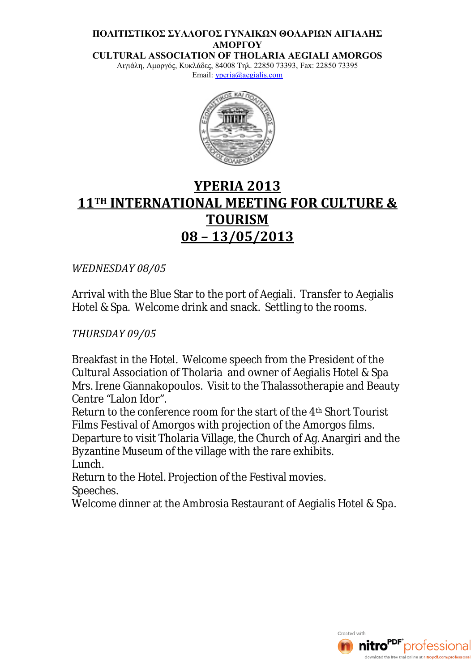#### **ΠΟΛΙΤΙΣΤΙΚΟΣ ΣΥΛΛΟΓΟΣ ΓΥΝΑΙΚΩΝ ΘΟΛΑΡΙΩΝ ΑΙΓΙΑΛΗΣ ΑΜΟΡΓΟΥ**

**CULTURAL ASSOCIATION OF THOLARIA AEGIALI AMORGOS** Αιγιάλη, Αμοργός, Κυκλάδες, 84008 Τηλ. 22850 73393, Fax: 22850 73395

Email: yperia@aegialis.com



# **YPERIA 2013 11TH INTERNATIONAL MEETING FOR CULTURE & TOURISM 08 – 13/05/2013**

*WEDNESDAY 08/05*

Arrival with the Blue Star to the port of Aegiali. Transfer to Aegialis Hotel & Spa. Welcome drink and snack. Settling to the rooms.

## *THURSDAY 09/05*

Breakfast in the Hotel. Welcome speech from the President of the Cultural Association of Tholaria and owner of Aegialis Hotel & Spa Mrs. Irene Giannakopoulos. Visit to the Thalassotherapie and Beauty Centre "Lalon Idor".

Return to the conference room for the start of the 4th Short Tourist Films Festival of Amorgos with projection of the Amorgos films. Departure to visit Tholaria Village, the Church of Ag. Anargiri and the Byzantine Museum of the village with the rare exhibits. Lunch.

Return to the Hotel. Projection of the Festival movies. Speeches.

Welcome dinner at the Ambrosia Restaurant of Aegialis Hotel & Spa.

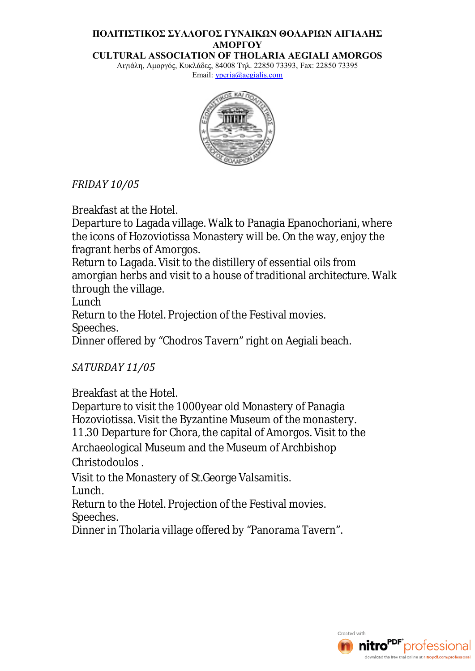## **ΠΟΛΙΤΙΣΤΙΚΟΣ ΣΥΛΛΟΓΟΣ ΓΥΝΑΙΚΩΝ ΘΟΛΑΡΙΩΝ ΑΙΓΙΑΛΗΣ ΑΜΟΡΓΟΥ**

**CULTURAL ASSOCIATION OF THOLARIA AEGIALI AMORGOS** Αιγιάλη, Αμοργός, Κυκλάδες, 84008 Τηλ. 22850 73393, Fax: 22850 73395

Email: yperia@aegialis.com



## *FRIDAY 10/05*

Breakfast at the Hotel.

Departure to Lagada village. Walk to Panagia Epanochoriani, where the icons of Hozoviotissa Monastery will be. On the way, enjoy the fragrant herbs of Amorgos.

Return to Lagada. Visit to the distillery of essential oils from amorgian herbs and visit to a house of traditional architecture. Walk through the village.

Lunch

Return to the Hotel. Projection of the Festival movies. Speeches.

Dinner offered by "Chodros Tavern" right on Aegiali beach.

## *SATURDAY 11/05*

Breakfast at the Hotel.

Departure to visit the 1000year old Monastery of Panagia Hozoviotissa. Visit the Byzantine Museum of the monastery. 11.30 Departure for Chora, the capital of Amorgos. Visit to the

Archaeological Museum and the Museum of Archbishop Christodoulos .

Visit to the Monastery of St.George Valsamitis. Lunch.

Return to the Hotel. Projection of the Festival movies. Speeches.

Dinner in Tholaria village offered by "Panorama Tavern".